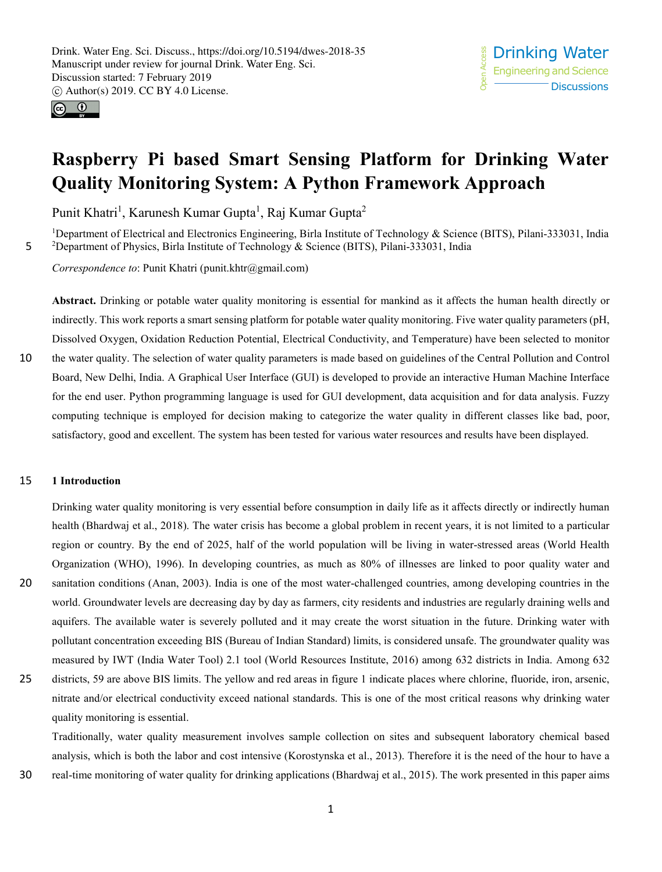Open Access



# **Raspberry Pi based Smart Sensing Platform for Drinking Water Quality Monitoring System: A Python Framework Approach**

Punit Khatri<sup>1</sup>, Karunesh Kumar Gupta<sup>1</sup>, Raj Kumar Gupta<sup>2</sup>

<sup>1</sup>Department of Electrical and Electronics Engineering, Birla Institute of Technology & Science (BITS), Pilani-333031, India 5 <sup>2</sup> Department of Physics, Birla Institute of Technology & Science (BITS), Pilani-333031, India

*Correspondence to*: Punit Khatri (punit.khtr@gmail.com)

**Abstract.** Drinking or potable water quality monitoring is essential for mankind as it affects the human health directly or indirectly. This work reports a smart sensing platform for potable water quality monitoring. Five water quality parameters (pH, Dissolved Oxygen, Oxidation Reduction Potential, Electrical Conductivity, and Temperature) have been selected to monitor

10 the water quality. The selection of water quality parameters is made based on guidelines of the Central Pollution and Control Board, New Delhi, India. A Graphical User Interface (GUI) is developed to provide an interactive Human Machine Interface for the end user. Python programming language is used for GUI development, data acquisition and for data analysis. Fuzzy computing technique is employed for decision making to categorize the water quality in different classes like bad, poor, satisfactory, good and excellent. The system has been tested for various water resources and results have been displayed.

## 15 **1 Introduction**

- Drinking water quality monitoring is very essential before consumption in daily life as it affects directly or indirectly human health (Bhardwaj et al., 2018). The water crisis has become a global problem in recent years, it is not limited to a particular region or country. By the end of 2025, half of the world population will be living in water-stressed areas (World Health Organization (WHO), 1996). In developing countries, as much as 80% of illnesses are linked to poor quality water and 20 sanitation conditions (Anan, 2003). India is one of the most water-challenged countries, among developing countries in the world. Groundwater levels are decreasing day by day as farmers, city residents and industries are regularly draining wells and aquifers. The available water is severely polluted and it may create the worst situation in the future. Drinking water with pollutant concentration exceeding BIS (Bureau of Indian Standard) limits, is considered unsafe. The groundwater quality was measured by IWT (India Water Tool) 2.1 tool (World Resources Institute, 2016) among 632 districts in India. Among 632
- 25 districts, 59 are above BIS limits. The yellow and red areas in figure 1 indicate places where chlorine, fluoride, iron, arsenic, nitrate and/or electrical conductivity exceed national standards. This is one of the most critical reasons why drinking water quality monitoring is essential.

Traditionally, water quality measurement involves sample collection on sites and subsequent laboratory chemical based analysis, which is both the labor and cost intensive (Korostynska et al., 2013). Therefore it is the need of the hour to have a

30 real-time monitoring of water quality for drinking applications (Bhardwaj et al., 2015). The work presented in this paper aims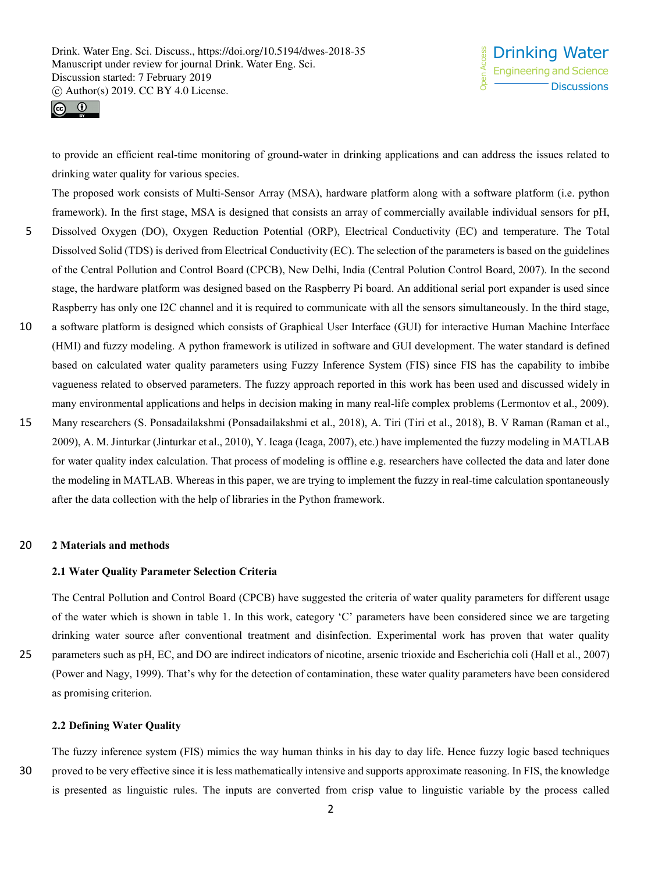

to provide an efficient real-time monitoring of ground-water in drinking applications and can address the issues related to drinking water quality for various species.

The proposed work consists of Multi-Sensor Array (MSA), hardware platform along with a software platform (i.e. python framework). In the first stage, MSA is designed that consists an array of commercially available individual sensors for pH, 5 Dissolved Oxygen (DO), Oxygen Reduction Potential (ORP), Electrical Conductivity (EC) and temperature. The Total

- Dissolved Solid (TDS) is derived from Electrical Conductivity (EC). The selection of the parameters is based on the guidelines of the Central Pollution and Control Board (CPCB), New Delhi, India (Central Polution Control Board, 2007). In the second stage, the hardware platform was designed based on the Raspberry Pi board. An additional serial port expander is used since Raspberry has only one I2C channel and it is required to communicate with all the sensors simultaneously. In the third stage,
- 10 a software platform is designed which consists of Graphical User Interface (GUI) for interactive Human Machine Interface (HMI) and fuzzy modeling. A python framework is utilized in software and GUI development. The water standard is defined based on calculated water quality parameters using Fuzzy Inference System (FIS) since FIS has the capability to imbibe vagueness related to observed parameters. The fuzzy approach reported in this work has been used and discussed widely in many environmental applications and helps in decision making in many real-life complex problems (Lermontov et al., 2009).
- 15 Many researchers (S. Ponsadailakshmi (Ponsadailakshmi et al., 2018), A. Tiri (Tiri et al., 2018), B. V Raman (Raman et al., 2009), A. M. Jinturkar (Jinturkar et al., 2010), Y. Icaga (Icaga, 2007), etc.) have implemented the fuzzy modeling in MATLAB for water quality index calculation. That process of modeling is offline e.g. researchers have collected the data and later done the modeling in MATLAB. Whereas in this paper, we are trying to implement the fuzzy in real-time calculation spontaneously after the data collection with the help of libraries in the Python framework.

## 20 **2 Materials and methods**

## **2.1 Water Quality Parameter Selection Criteria**

The Central Pollution and Control Board (CPCB) have suggested the criteria of water quality parameters for different usage of the water which is shown in table 1. In this work, category 'C' parameters have been considered since we are targeting drinking water source after conventional treatment and disinfection. Experimental work has proven that water quality 25 parameters such as pH, EC, and DO are indirect indicators of nicotine, arsenic trioxide and Escherichia coli (Hall et al., 2007) (Power and Nagy, 1999). That's why for the detection of contamination, these water quality parameters have been considered as promising criterion.

#### **2.2 Defining Water Quality**

The fuzzy inference system (FIS) mimics the way human thinks in his day to day life. Hence fuzzy logic based techniques 30 proved to be very effective since it is less mathematically intensive and supports approximate reasoning. In FIS, the knowledge is presented as linguistic rules. The inputs are converted from crisp value to linguistic variable by the process called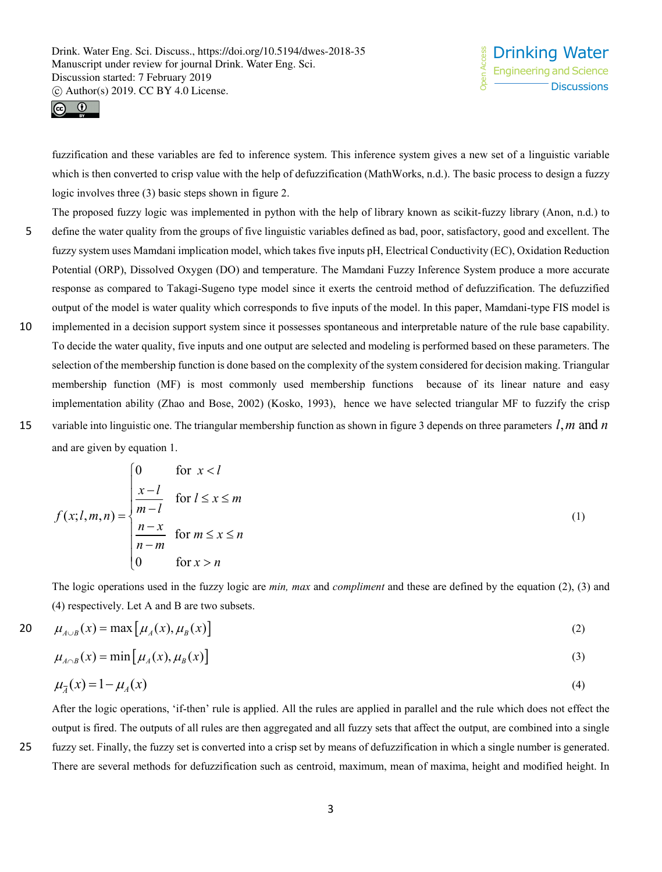

fuzzification and these variables are fed to inference system. This inference system gives a new set of a linguistic variable which is then converted to crisp value with the help of defuzzification (MathWorks, n.d.). The basic process to design a fuzzy logic involves three (3) basic steps shown in figure 2.

- The proposed fuzzy logic was implemented in python with the help of library known as scikit-fuzzy library (Anon, n.d.) to 5 define the water quality from the groups of five linguistic variables defined as bad, poor, satisfactory, good and excellent. The fuzzy system uses Mamdani implication model, which takes five inputs pH, Electrical Conductivity (EC), Oxidation Reduction Potential (ORP), Dissolved Oxygen (DO) and temperature. The Mamdani Fuzzy Inference System produce a more accurate response as compared to Takagi-Sugeno type model since it exerts the centroid method of defuzzification. The defuzzified output of the model is water quality which corresponds to five inputs of the model. In this paper, Mamdani-type FIS model is
- 10 implemented in a decision support system since it possesses spontaneous and interpretable nature of the rule base capability. To decide the water quality, five inputs and one output are selected and modeling is performed based on these parameters. The selection of the membership function is done based on the complexity of the system considered for decision making. Triangular membership function (MF) is most commonly used membership functions because of its linear nature and easy implementation ability (Zhao and Bose, 2002) (Kosko, 1993), hence we have selected triangular MF to fuzzify the crisp
- 15 variable into linguistic one. The triangular membership function as shown in figure 3 depends on three parameters  $l, m$  and  $n$ and are given by equation 1.

$$
f(x; l, m, n) = \begin{cases} 0 & \text{for } x < l \\ \frac{x - l}{m - l} & \text{for } l \le x \le m \\ \frac{n - x}{n - m} & \text{for } m \le x \le n \\ 0 & \text{for } x > n \end{cases} \tag{1}
$$

The logic operations used in the fuzzy logic are *min, max* and *compliment* and these are defined by the equation (2), (3) and (4) respectively. Let A and B are two subsets.

$$
20 \qquad \mu_{A \cup B}(x) = \max \left[ \mu_A(x), \mu_B(x) \right] \tag{2}
$$

$$
\mu_{A \cap B}(x) = \min[\mu_A(x), \mu_B(x)] \tag{3}
$$

$$
\mu_{\overline{A}}(x) = 1 - \mu_A(x) \tag{4}
$$

After the logic operations, 'if-then' rule is applied. All the rules are applied in parallel and the rule which does not effect the output is fired. The outputs of all rules are then aggregated and all fuzzy sets that affect the output, are combined into a single 25 fuzzy set. Finally, the fuzzy set is converted into a crisp set by means of defuzzification in which a single number is generated. There are several methods for defuzzification such as centroid, maximum, mean of maxima, height and modified height. In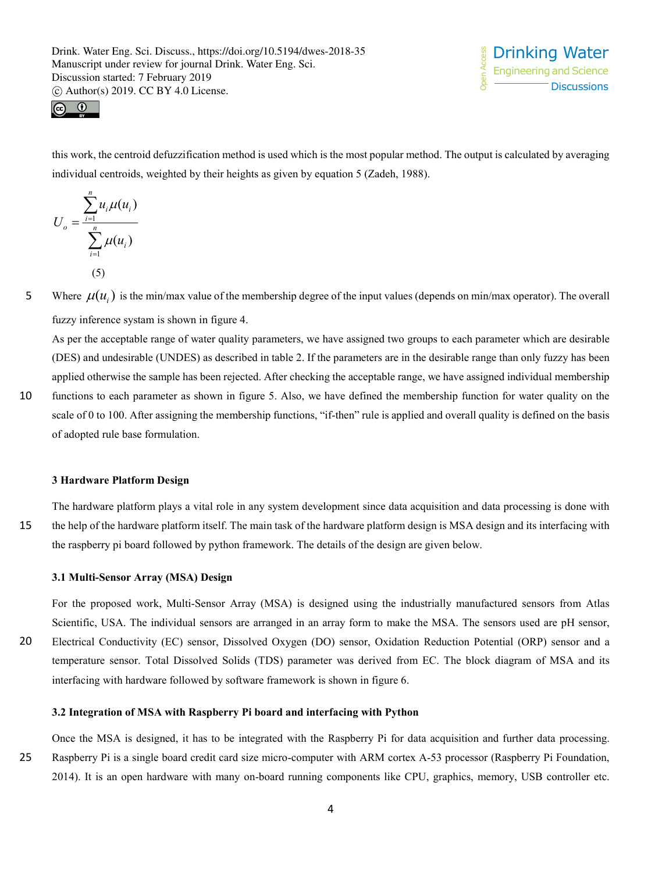

this work, the centroid defuzzification method is used which is the most popular method. The output is calculated by averaging individual centroids, weighted by their heights as given by equation 5 (Zadeh, 1988).

$$
U_o = \frac{\sum_{i=1}^{n} u_i \mu(u_i)}{\sum_{i=1}^{n} \mu(u_i)}
$$
\n(5)

5 Where  $\mu(u_i)$  is the min/max value of the membership degree of the input values (depends on min/max operator). The overall fuzzy inference systam is shown in figure 4.

As per the acceptable range of water quality parameters, we have assigned two groups to each parameter which are desirable (DES) and undesirable (UNDES) as described in table 2. If the parameters are in the desirable range than only fuzzy has been applied otherwise the sample has been rejected. After checking the acceptable range, we have assigned individual membership

10 functions to each parameter as shown in figure 5. Also, we have defined the membership function for water quality on the scale of 0 to 100. After assigning the membership functions, "if-then" rule is applied and overall quality is defined on the basis of adopted rule base formulation.

## **3 Hardware Platform Design**

The hardware platform plays a vital role in any system development since data acquisition and data processing is done with 15 the help of the hardware platform itself. The main task of the hardware platform design is MSA design and its interfacing with the raspberry pi board followed by python framework. The details of the design are given below.

## **3.1 Multi-Sensor Array (MSA) Design**

For the proposed work, Multi-Sensor Array (MSA) is designed using the industrially manufactured sensors from Atlas Scientific, USA. The individual sensors are arranged in an array form to make the MSA. The sensors used are pH sensor, 20 Electrical Conductivity (EC) sensor, Dissolved Oxygen (DO) sensor, Oxidation Reduction Potential (ORP) sensor and a temperature sensor. Total Dissolved Solids (TDS) parameter was derived from EC. The block diagram of MSA and its interfacing with hardware followed by software framework is shown in figure 6.

## **3.2 Integration of MSA with Raspberry Pi board and interfacing with Python**

Once the MSA is designed, it has to be integrated with the Raspberry Pi for data acquisition and further data processing. 25 Raspberry Pi is a single board credit card size micro-computer with ARM cortex A-53 processor (Raspberry Pi Foundation, 2014). It is an open hardware with many on-board running components like CPU, graphics, memory, USB controller etc.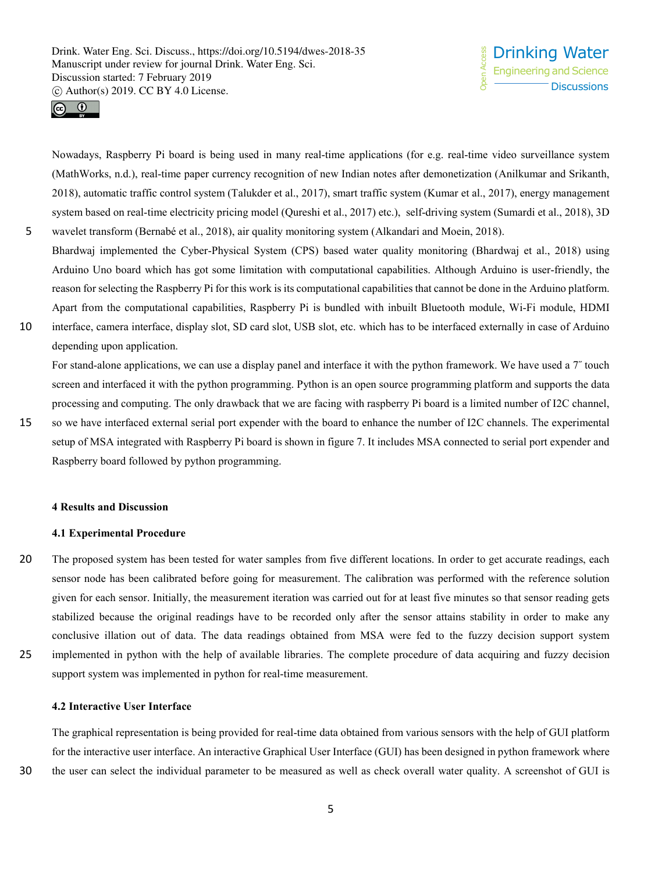

Nowadays, Raspberry Pi board is being used in many real-time applications (for e.g. real-time video surveillance system (MathWorks, n.d.), real-time paper currency recognition of new Indian notes after demonetization (Anilkumar and Srikanth, 2018), automatic traffic control system (Talukder et al., 2017), smart traffic system (Kumar et al., 2017), energy management system based on real-time electricity pricing model (Qureshi et al., 2017) etc.), self-driving system (Sumardi et al., 2018), 3D 5 wavelet transform (Bernabé et al., 2018), air quality monitoring system (Alkandari and Moein, 2018).

- Bhardwaj implemented the Cyber-Physical System (CPS) based water quality monitoring (Bhardwaj et al., 2018) using Arduino Uno board which has got some limitation with computational capabilities. Although Arduino is user-friendly, the reason for selecting the Raspberry Pi for this work is its computational capabilities that cannot be done in the Arduino platform. Apart from the computational capabilities, Raspberry Pi is bundled with inbuilt Bluetooth module, Wi-Fi module, HDMI
- 

10 interface, camera interface, display slot, SD card slot, USB slot, etc. which has to be interfaced externally in case of Arduino depending upon application.

For stand-alone applications, we can use a display panel and interface it with the python framework. We have used a 7˝ touch screen and interfaced it with the python programming. Python is an open source programming platform and supports the data processing and computing. The only drawback that we are facing with raspberry Pi board is a limited number of I2C channel,

- 
- 15 so we have interfaced external serial port expender with the board to enhance the number of I2C channels. The experimental setup of MSA integrated with Raspberry Pi board is shown in figure 7. It includes MSA connected to serial port expender and Raspberry board followed by python programming.

## **4 Results and Discussion**

#### **4.1 Experimental Procedure**

20 The proposed system has been tested for water samples from five different locations. In order to get accurate readings, each sensor node has been calibrated before going for measurement. The calibration was performed with the reference solution given for each sensor. Initially, the measurement iteration was carried out for at least five minutes so that sensor reading gets stabilized because the original readings have to be recorded only after the sensor attains stability in order to make any conclusive illation out of data. The data readings obtained from MSA were fed to the fuzzy decision support system 25 implemented in python with the help of available libraries. The complete procedure of data acquiring and fuzzy decision support system was implemented in python for real-time measurement.

## **4.2 Interactive User Interface**

The graphical representation is being provided for real-time data obtained from various sensors with the help of GUI platform for the interactive user interface. An interactive Graphical User Interface (GUI) has been designed in python framework where 30 the user can select the individual parameter to be measured as well as check overall water quality. A screenshot of GUI is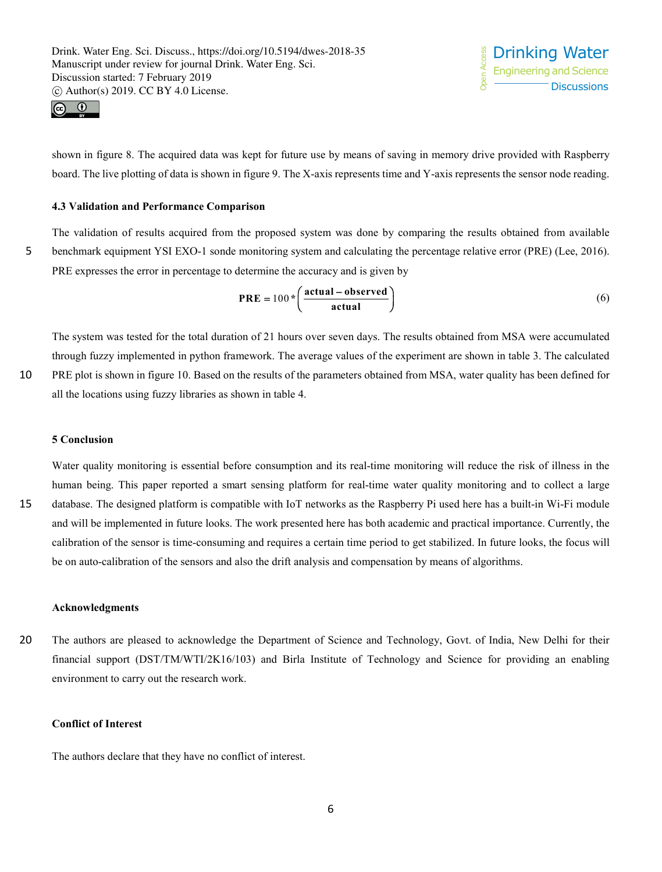

shown in figure 8. The acquired data was kept for future use by means of saving in memory drive provided with Raspberry board. The live plotting of data is shown in figure 9. The X-axis represents time and Y-axis represents the sensor node reading.

#### **4.3 Validation and Performance Comparison**

The validation of results acquired from the proposed system was done by comparing the results obtained from available 5 benchmark equipment YSI EXO-1 sonde monitoring system and calculating the percentage relative error (PRE) (Lee, 2016). PRE expresses the error in percentage to determine the accuracy and is given by

$$
PRE = 100 * \left(\frac{\text{actual} - \text{observed}}{\text{actual}}\right)
$$
 (6)

The system was tested for the total duration of 21 hours over seven days. The results obtained from MSA were accumulated through fuzzy implemented in python framework. The average values of the experiment are shown in table 3. The calculated 10 PRE plot is shown in figure 10. Based on the results of the parameters obtained from MSA, water quality has been defined for all the locations using fuzzy libraries as shown in table 4.

## **5 Conclusion**

Water quality monitoring is essential before consumption and its real-time monitoring will reduce the risk of illness in the human being. This paper reported a smart sensing platform for real-time water quality monitoring and to collect a large 15 database. The designed platform is compatible with IoT networks as the Raspberry Pi used here has a built-in Wi-Fi module and will be implemented in future looks. The work presented here has both academic and practical importance. Currently, the calibration of the sensor is time-consuming and requires a certain time period to get stabilized. In future looks, the focus will be on auto-calibration of the sensors and also the drift analysis and compensation by means of algorithms.

#### **Acknowledgments**

20 The authors are pleased to acknowledge the Department of Science and Technology, Govt. of India, New Delhi for their financial support (DST/TM/WTI/2K16/103) and Birla Institute of Technology and Science for providing an enabling environment to carry out the research work.

# **Conflict of Interest**

The authors declare that they have no conflict of interest.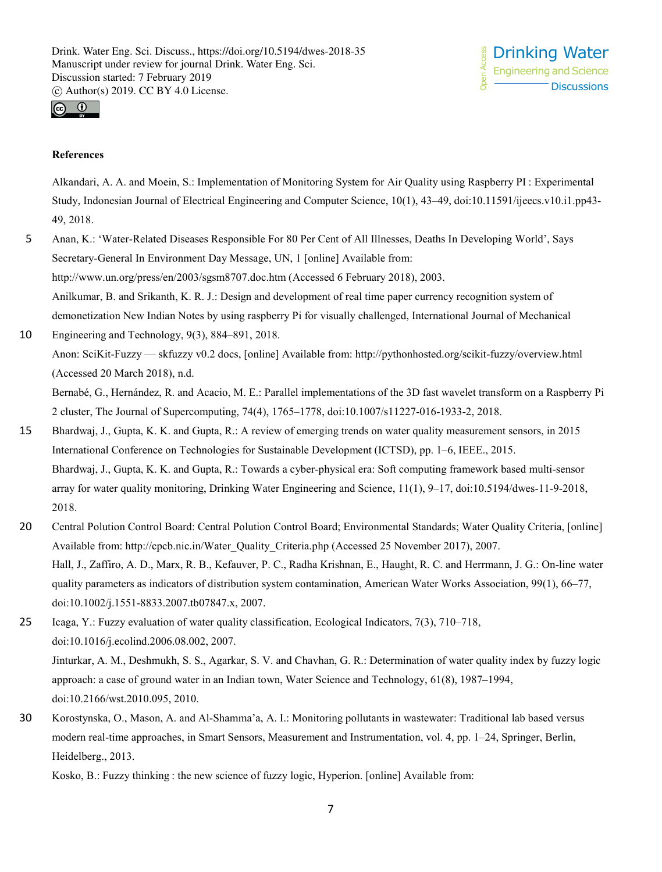

## **References**

- Alkandari, A. A. and Moein, S.: Implementation of Monitoring System for Air Quality using Raspberry PI : Experimental Study, Indonesian Journal of Electrical Engineering and Computer Science, 10(1), 43–49, doi:10.11591/ijeecs.v10.i1.pp43- 49, 2018.
- 5 Anan, K.: 'Water-Related Diseases Responsible For 80 Per Cent of All Illnesses, Deaths In Developing World', Says Secretary-General In Environment Day Message, UN, 1 [online] Available from: http://www.un.org/press/en/2003/sgsm8707.doc.htm (Accessed 6 February 2018), 2003. Anilkumar, B. and Srikanth, K. R. J.: Design and development of real time paper currency recognition system of demonetization New Indian Notes by using raspberry Pi for visually challenged, International Journal of Mechanical
- 10 Engineering and Technology, 9(3), 884–891, 2018. Anon: SciKit-Fuzzy — skfuzzy v0.2 docs, [online] Available from: http://pythonhosted.org/scikit-fuzzy/overview.html (Accessed 20 March 2018), n.d. Bernabé, G., Hernández, R. and Acacio, M. E.: Parallel implementations of the 3D fast wavelet transform on a Raspberry Pi

2 cluster, The Journal of Supercomputing, 74(4), 1765–1778, doi:10.1007/s11227-016-1933-2, 2018.

- 15 Bhardwaj, J., Gupta, K. K. and Gupta, R.: A review of emerging trends on water quality measurement sensors, in 2015 International Conference on Technologies for Sustainable Development (ICTSD), pp. 1–6, IEEE., 2015. Bhardwaj, J., Gupta, K. K. and Gupta, R.: Towards a cyber-physical era: Soft computing framework based multi-sensor array for water quality monitoring, Drinking Water Engineering and Science, 11(1), 9–17, doi:10.5194/dwes-11-9-2018, 2018.
- 20 Central Polution Control Board: Central Polution Control Board; Environmental Standards; Water Quality Criteria, [online] Available from: http://cpcb.nic.in/Water\_Quality\_Criteria.php (Accessed 25 November 2017), 2007. Hall, J., Zaffiro, A. D., Marx, R. B., Kefauver, P. C., Radha Krishnan, E., Haught, R. C. and Herrmann, J. G.: On-line water quality parameters as indicators of distribution system contamination, American Water Works Association, 99(1), 66–77, doi:10.1002/j.1551-8833.2007.tb07847.x, 2007.
- 25 Icaga, Y.: Fuzzy evaluation of water quality classification, Ecological Indicators, 7(3), 710–718, doi:10.1016/j.ecolind.2006.08.002, 2007. Jinturkar, A. M., Deshmukh, S. S., Agarkar, S. V. and Chavhan, G. R.: Determination of water quality index by fuzzy logic approach: a case of ground water in an Indian town, Water Science and Technology, 61(8), 1987–1994, doi:10.2166/wst.2010.095, 2010.
- 30 Korostynska, O., Mason, A. and Al-Shamma'a, A. I.: Monitoring pollutants in wastewater: Traditional lab based versus modern real-time approaches, in Smart Sensors, Measurement and Instrumentation, vol. 4, pp. 1–24, Springer, Berlin, Heidelberg., 2013.

Kosko, B.: Fuzzy thinking : the new science of fuzzy logic, Hyperion. [online] Available from: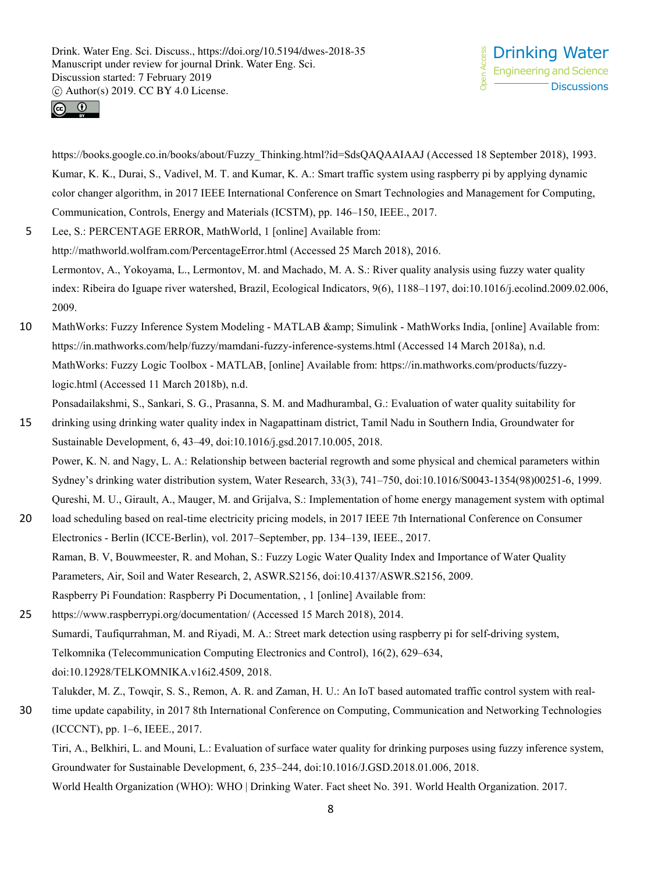

https://books.google.co.in/books/about/Fuzzy\_Thinking.html?id=SdsQAQAAIAAJ (Accessed 18 September 2018), 1993. Kumar, K. K., Durai, S., Vadivel, M. T. and Kumar, K. A.: Smart traffic system using raspberry pi by applying dynamic color changer algorithm, in 2017 IEEE International Conference on Smart Technologies and Management for Computing, Communication, Controls, Energy and Materials (ICSTM), pp. 146–150, IEEE., 2017.

- 5 Lee, S.: PERCENTAGE ERROR, MathWorld, 1 [online] Available from: http://mathworld.wolfram.com/PercentageError.html (Accessed 25 March 2018), 2016. Lermontov, A., Yokoyama, L., Lermontov, M. and Machado, M. A. S.: River quality analysis using fuzzy water quality index: Ribeira do Iguape river watershed, Brazil, Ecological Indicators, 9(6), 1188–1197, doi:10.1016/j.ecolind.2009.02.006, 2009.
- 10 MathWorks: Fuzzy Inference System Modeling MATLAB & amp; Simulink MathWorks India, [online] Available from: https://in.mathworks.com/help/fuzzy/mamdani-fuzzy-inference-systems.html (Accessed 14 March 2018a), n.d. MathWorks: Fuzzy Logic Toolbox - MATLAB, [online] Available from: https://in.mathworks.com/products/fuzzylogic.html (Accessed 11 March 2018b), n.d. Ponsadailakshmi, S., Sankari, S. G., Prasanna, S. M. and Madhurambal, G.: Evaluation of water quality suitability for
- 15 drinking using drinking water quality index in Nagapattinam district, Tamil Nadu in Southern India, Groundwater for Sustainable Development, 6, 43–49, doi:10.1016/j.gsd.2017.10.005, 2018. Power, K. N. and Nagy, L. A.: Relationship between bacterial regrowth and some physical and chemical parameters within Sydney's drinking water distribution system, Water Research, 33(3), 741–750, doi:10.1016/S0043-1354(98)00251-6, 1999.
- Qureshi, M. U., Girault, A., Mauger, M. and Grijalva, S.: Implementation of home energy management system with optimal 20 load scheduling based on real-time electricity pricing models, in 2017 IEEE 7th International Conference on Consumer
- Electronics Berlin (ICCE-Berlin), vol. 2017–September, pp. 134–139, IEEE., 2017. Raman, B. V, Bouwmeester, R. and Mohan, S.: Fuzzy Logic Water Quality Index and Importance of Water Quality Parameters, Air, Soil and Water Research, 2, ASWR.S2156, doi:10.4137/ASWR.S2156, 2009. Raspberry Pi Foundation: Raspberry Pi Documentation, , 1 [online] Available from:
- 25 https://www.raspberrypi.org/documentation/ (Accessed 15 March 2018), 2014. Sumardi, Taufiqurrahman, M. and Riyadi, M. A.: Street mark detection using raspberry pi for self-driving system, Telkomnika (Telecommunication Computing Electronics and Control), 16(2), 629–634, doi:10.12928/TELKOMNIKA.v16i2.4509, 2018. Talukder, M. Z., Towqir, S. S., Remon, A. R. and Zaman, H. U.: An IoT based automated traffic control system with real-
- 30 time update capability, in 2017 8th International Conference on Computing, Communication and Networking Technologies (ICCCNT), pp. 1–6, IEEE., 2017.
	- Tiri, A., Belkhiri, L. and Mouni, L.: Evaluation of surface water quality for drinking purposes using fuzzy inference system, Groundwater for Sustainable Development, 6, 235–244, doi:10.1016/J.GSD.2018.01.006, 2018.

World Health Organization (WHO): WHO | Drinking Water. Fact sheet No. 391. World Health Organization. 2017.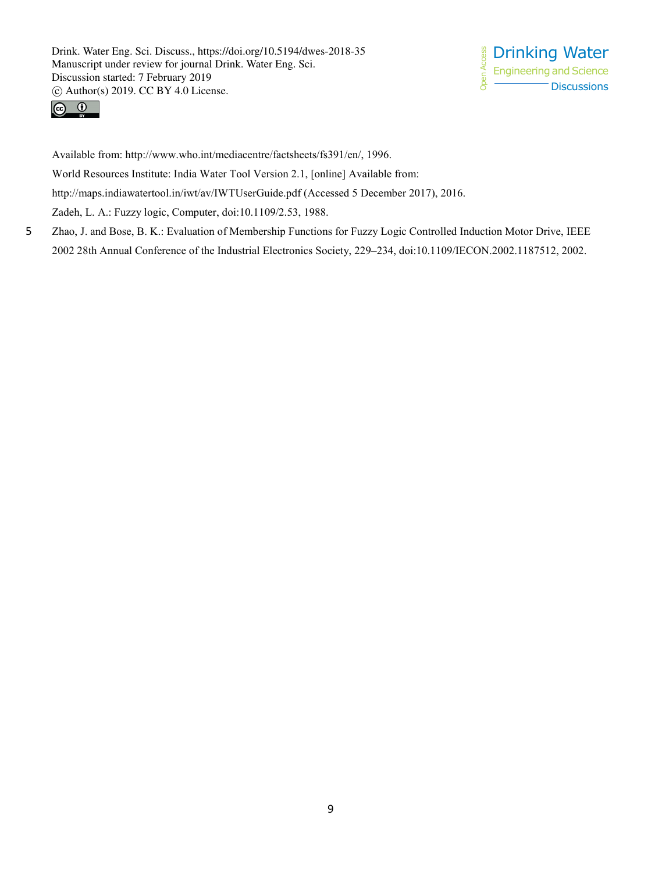



Available from: http://www.who.int/mediacentre/factsheets/fs391/en/, 1996. World Resources Institute: India Water Tool Version 2.1, [online] Available from: http://maps.indiawatertool.in/iwt/av/IWTUserGuide.pdf (Accessed 5 December 2017), 2016. Zadeh, L. A.: Fuzzy logic, Computer, doi:10.1109/2.53, 1988.

5 Zhao, J. and Bose, B. K.: Evaluation of Membership Functions for Fuzzy Logic Controlled Induction Motor Drive, IEEE 2002 28th Annual Conference of the Industrial Electronics Society, 229–234, doi:10.1109/IECON.2002.1187512, 2002.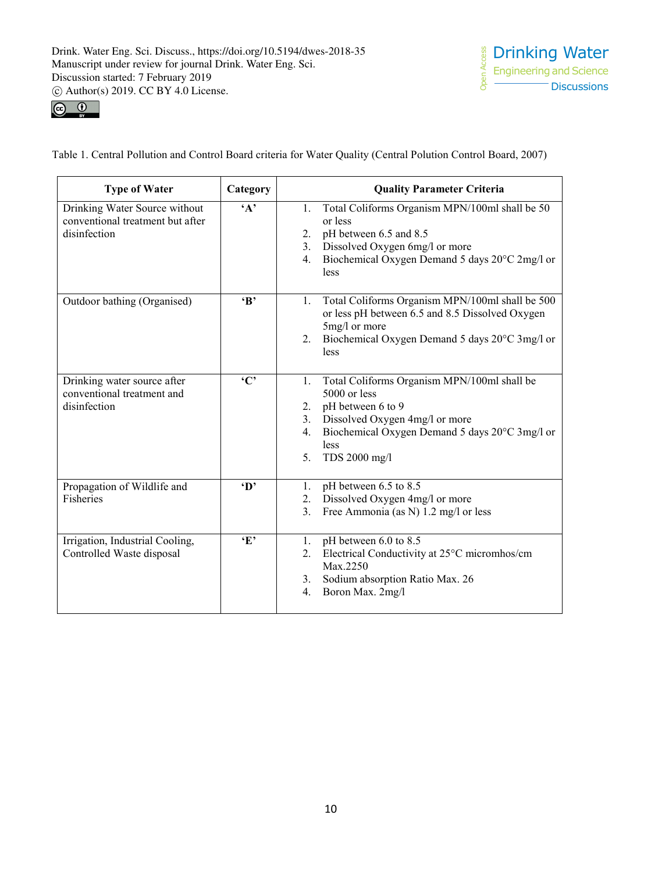

Table 1. Central Pollution and Control Board criteria for Water Quality (Central Polution Control Board, 2007)

| <b>Type of Water</b>                                                              | Category     | <b>Quality Parameter Criteria</b>                                                                                                                                                                                           |  |  |  |
|-----------------------------------------------------------------------------------|--------------|-----------------------------------------------------------------------------------------------------------------------------------------------------------------------------------------------------------------------------|--|--|--|
| Drinking Water Source without<br>conventional treatment but after<br>disinfection | $\mathbf{A}$ | Total Coliforms Organism MPN/100ml shall be 50<br>1.<br>or less<br>pH between 6.5 and 8.5<br>2.<br>3. Dissolved Oxygen 6mg/l or more<br>Biochemical Oxygen Demand 5 days 20°C 2mg/l or<br>4.<br>less                        |  |  |  |
| Outdoor bathing (Organised)                                                       | $\cdot$ B    | Total Coliforms Organism MPN/100ml shall be 500<br>1.<br>or less pH between 6.5 and 8.5 Dissolved Oxygen<br>5mg/l or more<br>Biochemical Oxygen Demand 5 days 20°C 3mg/l or<br>2.<br>less                                   |  |  |  |
| Drinking water source after<br>conventional treatment and<br>disinfection         | $\cdot$ C'   | Total Coliforms Organism MPN/100ml shall be<br>1.<br>5000 or less<br>pH between 6 to 9<br>2.<br>Dissolved Oxygen 4mg/l or more<br>3.<br>Biochemical Oxygen Demand 5 days 20°C 3mg/l or<br>4.<br>less<br>TDS 2000 mg/l<br>5. |  |  |  |
| Propagation of Wildlife and<br>Fisheries                                          | $\mathbf{D}$ | pH between 6.5 to 8.5<br>1.<br>Dissolved Oxygen 4mg/l or more<br>2.<br>Free Ammonia (as N) 1.2 mg/l or less<br>3.                                                                                                           |  |  |  |
| Irrigation, Industrial Cooling,<br>Controlled Waste disposal                      | $\cdot$ E'   | pH between 6.0 to 8.5<br>1.<br>Electrical Conductivity at 25°C micromhos/cm<br>2.<br>Max.2250<br>Sodium absorption Ratio Max. 26<br>3.<br>Boron Max. 2mg/l<br>4.                                                            |  |  |  |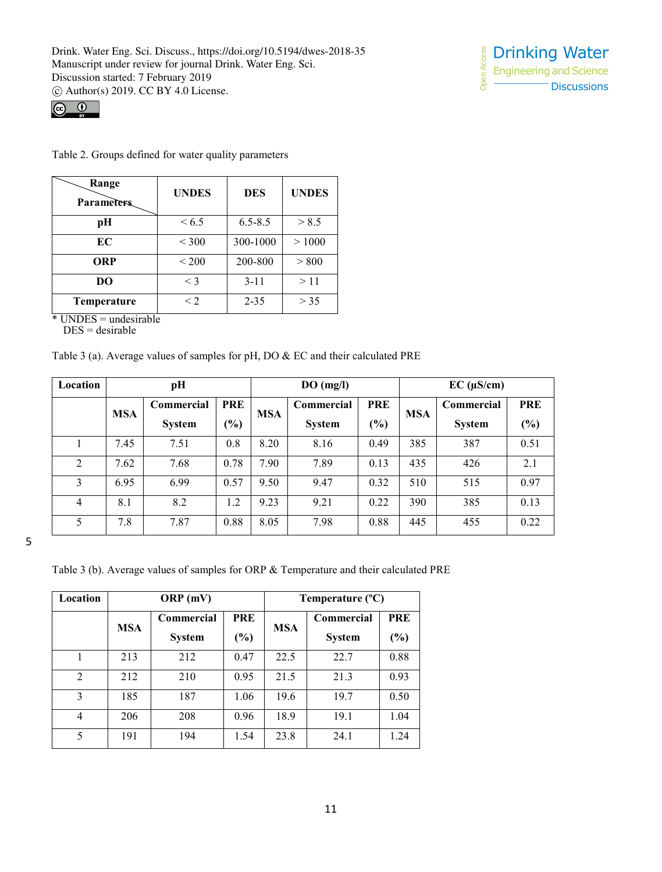

**Range Parameters UNDES DES UNDES pH**  $< 6.5 - 8.5$   $6.5 - 8.5$   $> 8.5$ **EC**  $| 300 - 1000 | > 1000$ **ORP**  $< 200$  | 200-800 | > 800 **DO** < 3 3-11 > 11 **Temperature** < 2 2-35 > 35

Table 2. Groups defined for water quality parameters

\* UNDES = undesirable

DES = desirable

Table 3 (a). Average values of samples for pH, DO & EC and their calculated PRE

| Location | pH         |               |        | DO(mg/l)   |               |            | $EC$ ( $\mu$ S/cm) |               |        |
|----------|------------|---------------|--------|------------|---------------|------------|--------------------|---------------|--------|
|          | <b>MSA</b> | Commercial    | PRE    | <b>MSA</b> | Commercial    | <b>PRE</b> | <b>MSA</b>         | Commercial    | PRE    |
|          |            | <b>System</b> | $(\%)$ |            | <b>System</b> | (%)        |                    | <b>System</b> | $(\%)$ |
|          | 7.45       | 7.51          | 0.8    | 8.20       | 8.16          | 0.49       | 385                | 387           | 0.51   |
| 2        | 7.62       | 7.68          | 0.78   | 7.90       | 7.89          | 0.13       | 435                | 426           | 2.1    |
| 3        | 6.95       | 6.99          | 0.57   | 9.50       | 9.47          | 0.32       | 510                | 515           | 0.97   |
| 4        | 8.1        | 8.2           | 1.2    | 9.23       | 9.21          | 0.22       | 390                | 385           | 0.13   |
| 5        | 7.8        | 7.87          | 0.88   | 8.05       | 7.98          | 0.88       | 445                | 455           | 0.22   |

5

Table 3 (b). Average values of samples for ORP & Temperature and their calculated PRE

| Location       |            | ORP(mV)       |            | Temperature $(^{\circ}C)$ |               |            |
|----------------|------------|---------------|------------|---------------------------|---------------|------------|
|                | <b>MSA</b> | Commercial    | <b>PRE</b> | <b>MSA</b>                | Commercial    | <b>PRE</b> |
|                |            | <b>System</b> | (%)        |                           | <b>System</b> | (%)        |
|                | 213        | 212           | 0.47       | 22.5                      | 22.7          | 0.88       |
| $\overline{2}$ | 212        | 210           | 0.95       | 21.5                      | 21.3          | 0.93       |
| 3              | 185        | 187           | 1.06       | 19.6                      | 19.7          | 0.50       |
| 4              | 206        | 208           | 0.96       | 18.9                      | 19.1          | 1.04       |
| 5              | 191        | 194           | 1.54       | 23.8                      | 24.1          | 1.24       |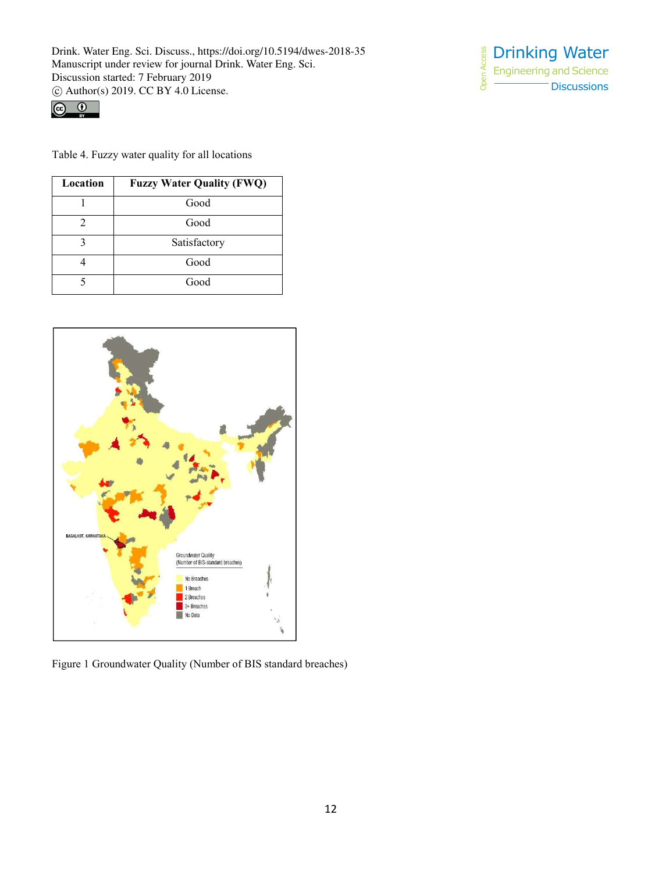



Table 4. Fuzzy water quality for all locations

| Location | <b>Fuzzy Water Quality (FWQ)</b> |
|----------|----------------------------------|
|          | Good                             |
|          | Good                             |
|          | Satisfactory                     |
|          | Good                             |
|          | Good                             |



Figure 1 Groundwater Quality (Number of BIS standard breaches)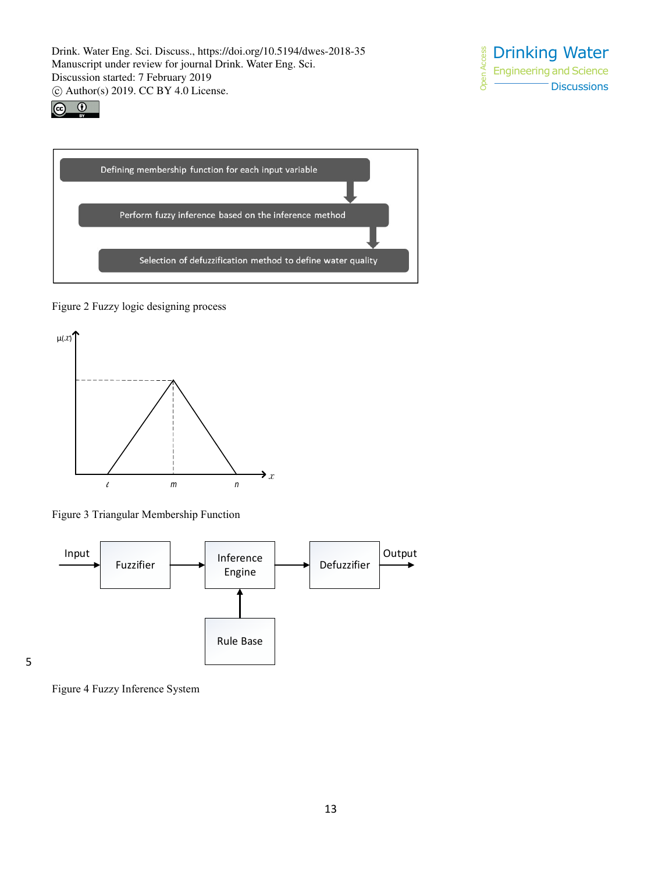





Figure 2 Fuzzy logic designing process



Figure 3 Triangular Membership Function



5

Figure 4 Fuzzy Inference System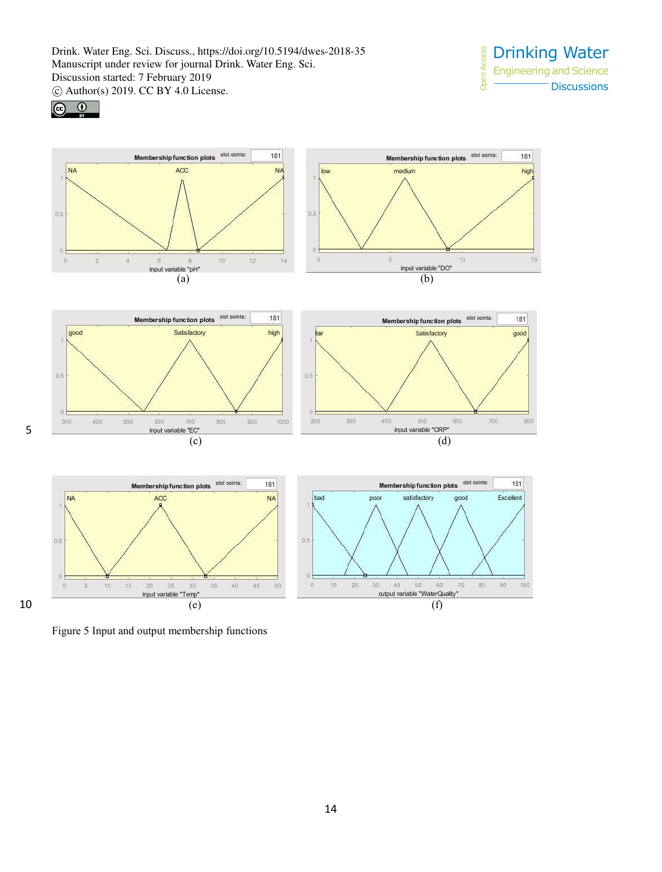





Figure 5 Input and output membership functions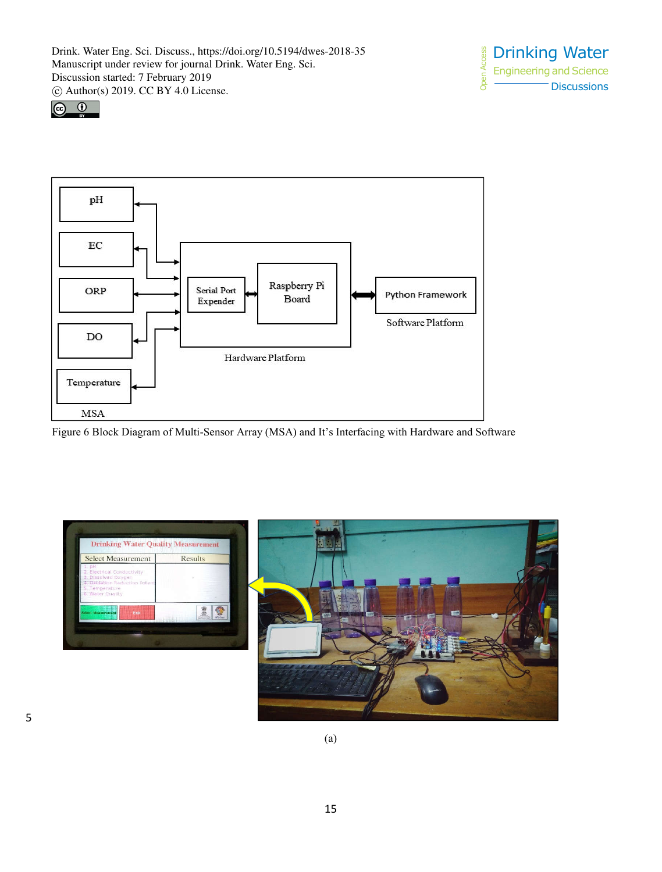





Figure 6 Block Diagram of Multi-Sensor Array (MSA) and It's Interfacing with Hardware and Software





5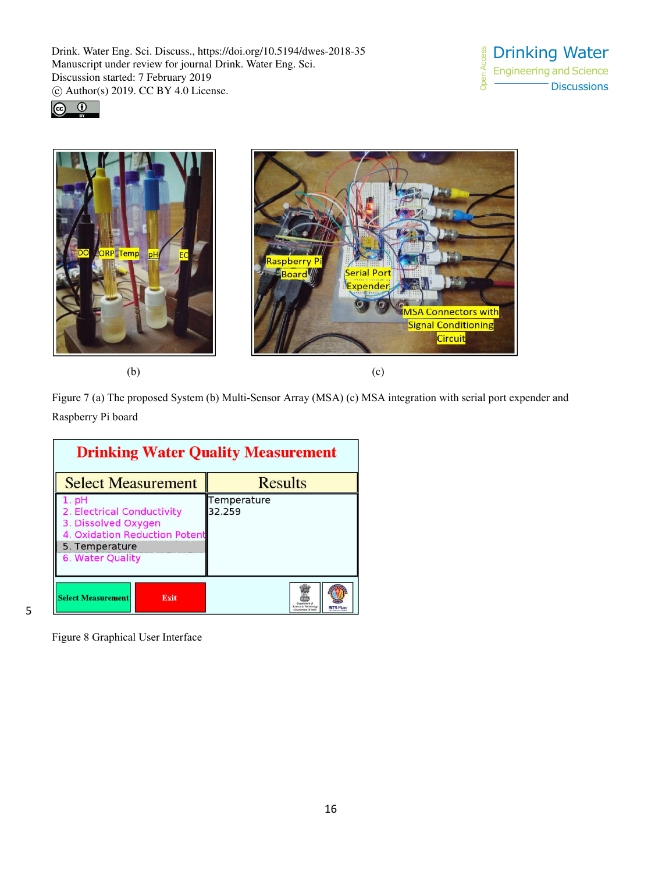Open Access

Open Access







 $(b)$  (c)

Figure 7 (a) The proposed System (b) Multi-Sensor Array (MSA) (c) MSA integration with serial port expender and Raspberry Pi board

| <b>Drinking Water Quality Measurement</b>                                                                                             |      |                       |                   |  |  |  |
|---------------------------------------------------------------------------------------------------------------------------------------|------|-----------------------|-------------------|--|--|--|
| <b>Select Measurement</b>                                                                                                             |      | <b>Results</b>        |                   |  |  |  |
| $1.$ $pH$<br>2. Electrical Conductivity<br>3. Dissolved Oxygen<br>4. Oxidation Reduction Potent<br>5. Temperature<br>6. Water Quality |      | Temperature<br>32.259 |                   |  |  |  |
| <b>Select Measurement</b>                                                                                                             | Exit |                       | <b>BITS Pilar</b> |  |  |  |

5

Figure 8 Graphical User Interface